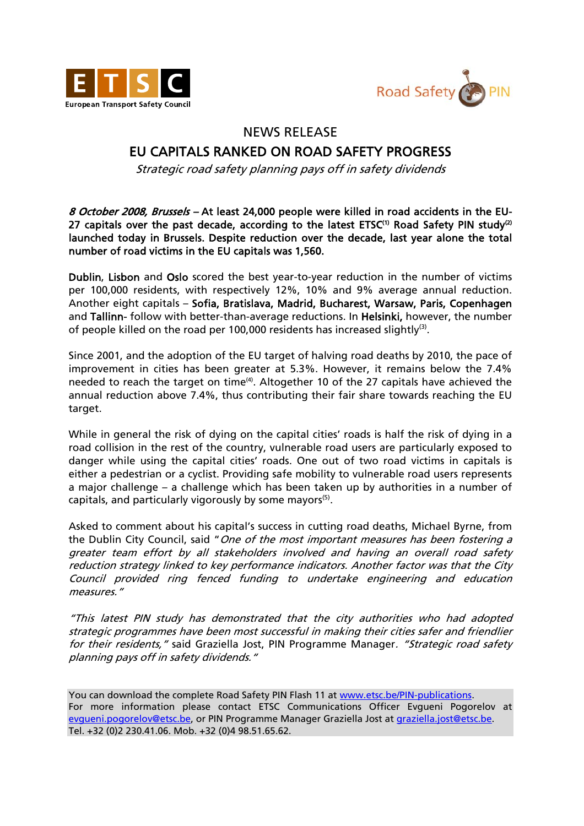



## NEWS RELEASE

## EU CAPITALS RANKED ON ROAD SAFETY PROGRESS

Strategic road safety planning pays off in safety dividends

8 October 2008, Brussels – At least 24,000 people were killed in road accidents in the EU-27 capitals over the past decade, according to the latest  $ETSC^{(1)}$  Road Safety PIN study<sup>(2)</sup> launched today in Brussels. Despite reduction over the decade, last year alone the total number of road victims in the EU capitals was 1,560.

Dublin, Lisbon and Oslo scored the best year-to-year reduction in the number of victims per 100,000 residents, with respectively 12%, 10% and 9% average annual reduction. Another eight capitals – Sofia, Bratislava, Madrid, Bucharest, Warsaw, Paris, Copenhagen and Tallinn- follow with better-than-average reductions. In Helsinki, however, the number of people killed on the road per 100,000 residents has increased slightly<sup>(3)</sup>.

Since 2001, and the adoption of the EU target of halving road deaths by 2010, the pace of improvement in cities has been greater at 5.3%. However, it remains below the 7.4% needed to reach the target on time(4). Altogether 10 of the 27 capitals have achieved the annual reduction above 7.4%, thus contributing their fair share towards reaching the EU target.

While in general the risk of dying on the capital cities' roads is half the risk of dying in a road collision in the rest of the country, vulnerable road users are particularly exposed to danger while using the capital cities' roads. One out of two road victims in capitals is either a pedestrian or a cyclist. Providing safe mobility to vulnerable road users represents a major challenge – a challenge which has been taken up by authorities in a number of capitals, and particularly vigorously by some mayors<sup>(5)</sup>.

Asked to comment about his capital's success in cutting road deaths, Michael Byrne, from the Dublin City Council, said "One of the most important measures has been fostering a greater team effort by all stakeholders involved and having an overall road safety reduction strategy linked to key performance indicators. Another factor was that the City Council provided ring fenced funding to undertake engineering and education measures."

"This latest PIN study has demonstrated that the city authorities who had adopted strategic programmes have been most successful in making their cities safer and friendlier for their residents," said Graziella Jost, PIN Programme Manager. "Strategic road safety planning pays off in safety dividends."

You can download the complete Road Safety PIN Flash 11 at www.etsc.be/PIN-publications. For more information please contact ETSC Communications Officer Evgueni Pogorelov at evgueni.pogorelov@etsc.be, or PIN Programme Manager Graziella Jost at graziella.jost@etsc.be. Tel. +32 (0)2 230.41.06. Mob. +32 (0)4 98.51.65.62.